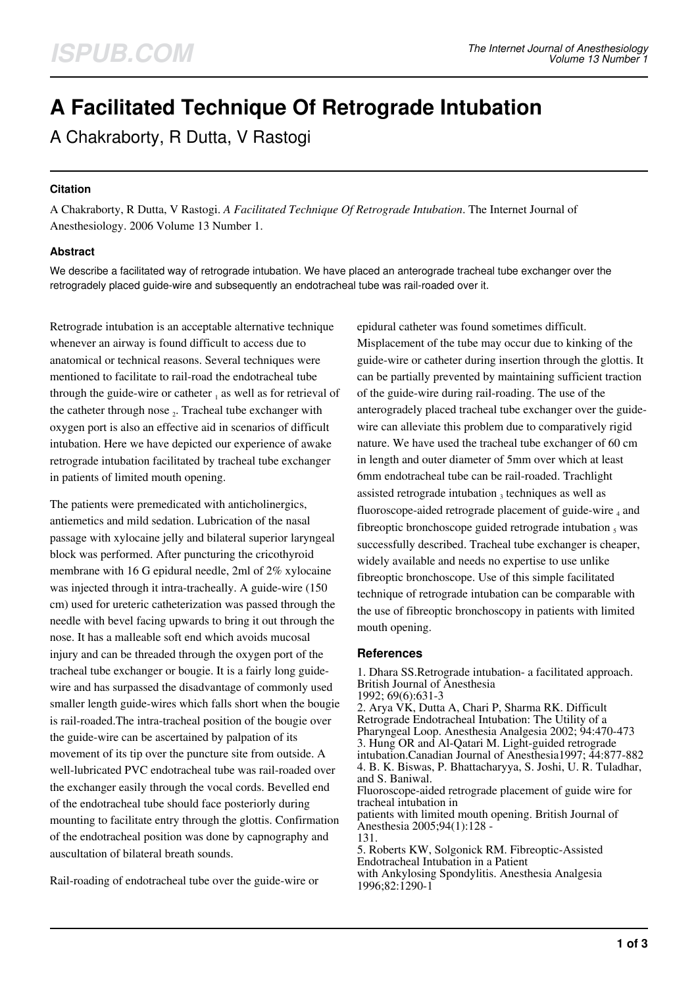# **A Facilitated Technique Of Retrograde Intubation**

A Chakraborty, R Dutta, V Rastogi

## **Citation**

A Chakraborty, R Dutta, V Rastogi. *A Facilitated Technique Of Retrograde Intubation*. The Internet Journal of Anesthesiology. 2006 Volume 13 Number 1.

# **Abstract**

We describe a facilitated way of retrograde intubation. We have placed an anterograde tracheal tube exchanger over the retrogradely placed guide-wire and subsequently an endotracheal tube was rail-roaded over it.

Retrograde intubation is an acceptable alternative technique whenever an airway is found difficult to access due to anatomical or technical reasons. Several techniques were mentioned to facilitate to rail-road the endotracheal tube through the guide-wire or catheter  $_1$  as well as for retrieval of the catheter through nose  $_2$ . Tracheal tube exchanger with oxygen port is also an effective aid in scenarios of difficult intubation. Here we have depicted our experience of awake retrograde intubation facilitated by tracheal tube exchanger in patients of limited mouth opening.

The patients were premedicated with anticholinergics, antiemetics and mild sedation. Lubrication of the nasal passage with xylocaine jelly and bilateral superior laryngeal block was performed. After puncturing the cricothyroid membrane with 16 G epidural needle, 2ml of 2% xylocaine was injected through it intra-tracheally. A guide-wire (150 cm) used for ureteric catheterization was passed through the needle with bevel facing upwards to bring it out through the nose. It has a malleable soft end which avoids mucosal injury and can be threaded through the oxygen port of the tracheal tube exchanger or bougie. It is a fairly long guidewire and has surpassed the disadvantage of commonly used smaller length guide-wires which falls short when the bougie is rail-roaded.The intra-tracheal position of the bougie over the guide-wire can be ascertained by palpation of its movement of its tip over the puncture site from outside. A well-lubricated PVC endotracheal tube was rail-roaded over the exchanger easily through the vocal cords. Bevelled end of the endotracheal tube should face posteriorly during mounting to facilitate entry through the glottis. Confirmation of the endotracheal position was done by capnography and auscultation of bilateral breath sounds.

Rail-roading of endotracheal tube over the guide-wire or

epidural catheter was found sometimes difficult. Misplacement of the tube may occur due to kinking of the guide-wire or catheter during insertion through the glottis. It can be partially prevented by maintaining sufficient traction of the guide-wire during rail-roading. The use of the anterogradely placed tracheal tube exchanger over the guidewire can alleviate this problem due to comparatively rigid nature. We have used the tracheal tube exchanger of 60 cm in length and outer diameter of 5mm over which at least 6mm endotracheal tube can be rail-roaded. Trachlight assisted retrograde intubation  $_3$  techniques as well as fluoroscope-aided retrograde placement of guide-wire  $_4$  and fibreoptic bronchoscope guided retrograde intubation  $_5$  was successfully described. Tracheal tube exchanger is cheaper, widely available and needs no expertise to use unlike fibreoptic bronchoscope. Use of this simple facilitated technique of retrograde intubation can be comparable with the use of fibreoptic bronchoscopy in patients with limited mouth opening.

### **References**

1. Dhara SS.Retrograde intubation- a facilitated approach. British Journal of Anesthesia 1992; 69(6):631-3 2. Arya VK, Dutta A, Chari P, Sharma RK. Difficult Retrograde Endotracheal Intubation: The Utility of a Pharyngeal Loop. Anesthesia Analgesia 2002; 94:470-473 3. Hung OR and Al-Qatari M. Light-guided retrograde intubation.Canadian Journal of Anesthesia1997; 44:877-882 4. B. K. Biswas, P. Bhattacharyya, S. Joshi, U. R. Tuladhar, and S. Baniwal. Fluoroscope-aided retrograde placement of guide wire for tracheal intubation in patients with limited mouth opening. British Journal of Anesthesia 2005;94(1):128 - 131. 5. Roberts KW, Solgonick RM. Fibreoptic-Assisted Endotracheal Intubation in a Patient with Ankylosing Spondylitis. Anesthesia Analgesia 1996;82:1290-1